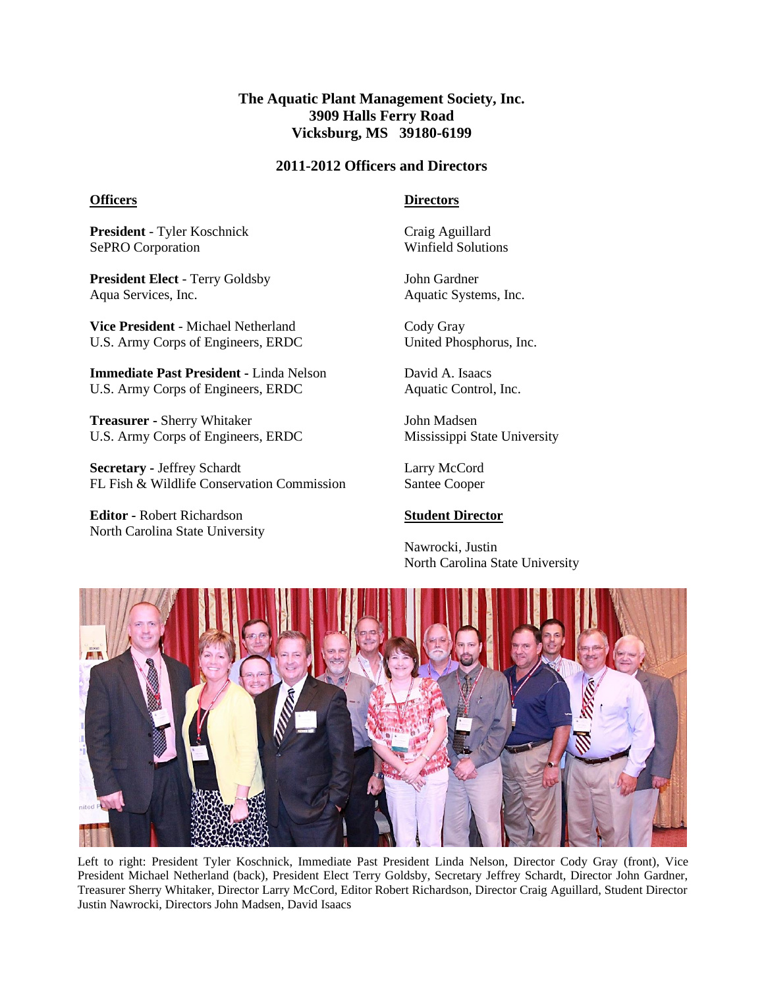## **The Aquatic Plant Management Society, Inc. 3909 Halls Ferry Road Vicksburg, MS 39180-6199**

### **2011-2012 Officers and Directors**

#### **Officers**

**Directors**

**President** - Tyler Koschnick SePRO Corporation

**President Elect** - Terry Goldsby Aqua Services, Inc.

**Vice President** - Michael Netherland U.S. Army Corps of Engineers, ERDC

**Immediate Past President -** Linda Nelson U.S. Army Corps of Engineers, ERDC

**Treasurer -** Sherry Whitaker U.S. Army Corps of Engineers, ERDC

**Secretary -** Jeffrey Schardt FL Fish & Wildlife Conservation Commission

**Editor -** Robert Richardson North Carolina State University Craig Aguillard Winfield Solutions

John Gardner Aquatic Systems, Inc.

Cody Gray United Phosphorus, Inc.

David A. Isaacs Aquatic Control, Inc.

John Madsen Mississippi State University

Larry McCord Santee Cooper

#### **Student Director**

Nawrocki, Justin North Carolina State University



Left to right: President Tyler Koschnick, Immediate Past President Linda Nelson, Director Cody Gray (front), Vice President Michael Netherland (back), President Elect Terry Goldsby, Secretary Jeffrey Schardt, Director John Gardner, Treasurer Sherry Whitaker, Director Larry McCord, Editor Robert Richardson, Director Craig Aguillard, Student Director Justin Nawrocki, Directors John Madsen, David Isaacs